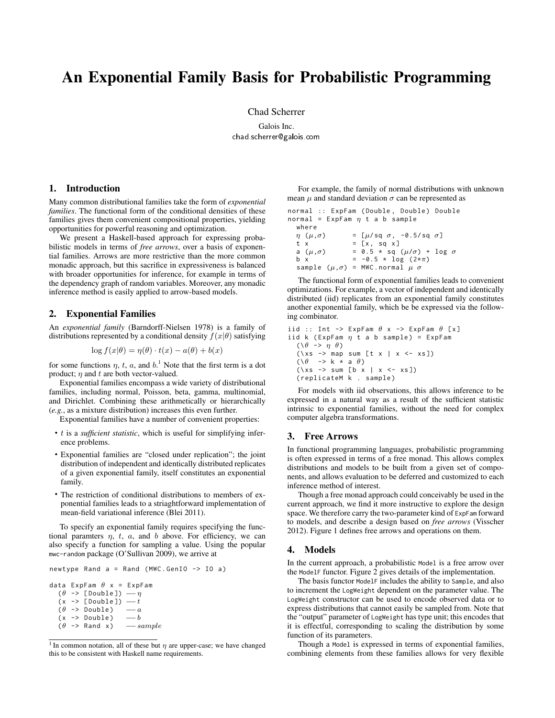# An Exponential Family Basis for Probabilistic Programming

Chad Scherrer

Galois Inc. chad.scherrer@galois.com

# 1. Introduction

Many common distributional families take the form of *exponential families*. The functional form of the conditional densities of these families gives them convenient compositional properties, yielding opportunities for powerful reasoning and optimization.

We present a Haskell-based approach for expressing probabilistic models in terms of *free arrows*, over a basis of exponential families. Arrows are more restrictive than the more common monadic approach, but this sacrifice in expressiveness is balanced with broader opportunities for inference, for example in terms of the dependency graph of random variables. Moreover, any monadic inference method is easily applied to arrow-based models.

# 2. Exponential Families

An *exponential family* (Barndorff-Nielsen 1978) is a family of distributions represented by a conditional density  $f(x|\theta)$  satisfying

$$
\log f(x|\theta) = \eta(\theta) \cdot t(x) - a(\theta) + b(x)
$$

for some functions  $\eta$ ,  $t$ ,  $a$ , and  $b$ .<sup>1</sup> Note that the first term is a dot product; *η* and *t* are both vector-valued.

Exponential families encompass a wide variety of distributional families, including normal, Poisson, beta, gamma, multinomial, and Dirichlet. Combining these arithmetically or hierarchically (*e.g.*, as a mixture distribution) increases this even further.

Exponential families have a number of convenient properties:

- *t* is a *sufficient statistic*, which is useful for simplifying inference problems.
- Exponential families are "closed under replication"; the joint distribution of independent and identically distributed replicates of a given exponential family, itself constitutes an exponential family.
- The restriction of conditional distributions to members of exponential families leads to a striaghtforward implementation of mean-field variational inference (Blei 2011).

To specify an exponential family requires specifying the functional paramters  $\eta$ ,  $t$ ,  $a$ , and  $b$  above. For efficiency, we can also specify a function for sampling a value. Using the popular mwc-random package (O'Sullivan 2009), we arrive at

```
newtype Rand a = Rand (MWC.GenIO -> IO a)
```

```
data ExpFam θ x = ExpFam
  (θ -> [ Double ]) −− η
  (x -> [ Double ]) −− t
  (θ -> Double) −−a<br>(x -> Double) −b
  (x -> Double) −−<br>(θ -> Rand x) −− sample
  (θ -> Rand x ) −− sample
```
For example, the family of normal distributions with unknown mean  $\mu$  and standard deviation  $\sigma$  can be represented as

```
normal :: ExpFam ( Double , Double ) Double
normal = ExpFam η t a b sample
  where
  η (µ,σ) = [µ/ sq σ, -0.5/ sq σ]
  t x = [x, sq x]a (\mu, \sigma) = 0.5 * sq (\mu/\sigma) + log \sigmab x = -0.5 \times \log (2 \times \pi)sample (µ,σ) = MWC . normal µ σ
```
The functional form of exponential families leads to convenient optimizations. For example, a vector of independent and identically distributed (iid) replicates from an exponential family constitutes another exponential family, which be be expressed via the following combinator.

```
iid :: Int \rightarrow ExpFam \theta x \rightarrow ExpFam \theta [x]
iid k (ExpFam \eta t a b sample) = ExpFam(\θ -> η θ)
  (\x5 \rightarrow \text{map sum} [t \ x \ | \ x \le - \ xs])(\θ -> k * a θ)
  (\x5 \rightarrow \text{sum} [b x \mid x \leftarrow xs])( replicateM k . sample )
```
For models with iid observations, this allows inference to be expressed in a natural way as a result of the sufficient statistic intrinsic to exponential families, without the need for complex computer algebra transformations.

## 3. Free Arrows

In functional programming languages, probabilistic programming is often expressed in terms of a free monad. This allows complex distributions and models to be built from a given set of components, and allows evaluation to be deferred and customized to each inference method of interest.

Though a free monad approach could conceivably be used in the current approach, we find it more instructive to explore the design space. We therefore carry the two-parameter kind of ExpFam forward to models, and describe a design based on *free arrows* (Visscher 2012). Figure 1 defines free arrows and operations on them.

## 4. Models

In the current approach, a probabilistic Model is a free arrow over the ModelF functor. Figure 2 gives details of the implementation.

The basis functor ModelF includes the ability to Sample, and also to increment the LogWeight dependent on the parameter value. The LogWeight constructor can be used to encode observed data or to express distributions that cannot easily be sampled from. Note that the "output" parameter of LogWeight has type unit; this encodes that it is effectful, corresponding to scaling the distribution by some function of its parameters.

Though a Model is expressed in terms of exponential families, combining elements from these families allows for very flexible

<sup>&</sup>lt;sup>1</sup> In common notation, all of these but  $\eta$  are upper-case; we have changed this to be consistent with Haskell name requirements.